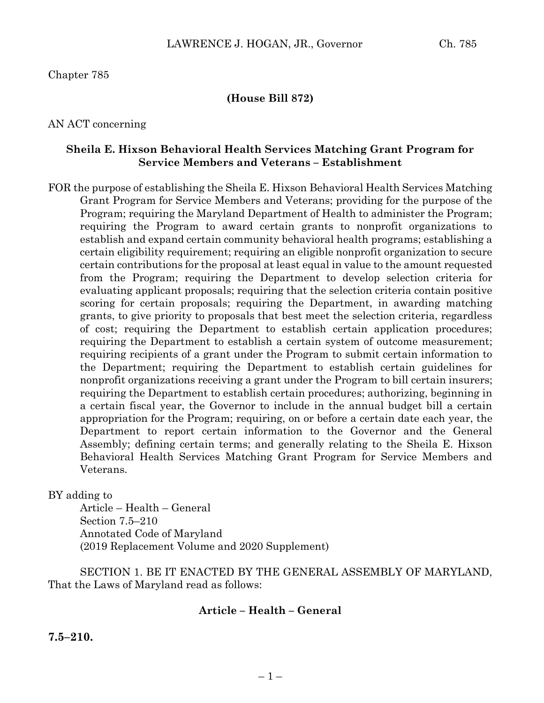# Chapter 785

### **(House Bill 872)**

#### AN ACT concerning

#### **Sheila E. Hixson Behavioral Health Services Matching Grant Program for Service Members and Veterans – Establishment**

FOR the purpose of establishing the Sheila E. Hixson Behavioral Health Services Matching Grant Program for Service Members and Veterans; providing for the purpose of the Program; requiring the Maryland Department of Health to administer the Program; requiring the Program to award certain grants to nonprofit organizations to establish and expand certain community behavioral health programs; establishing a certain eligibility requirement; requiring an eligible nonprofit organization to secure certain contributions for the proposal at least equal in value to the amount requested from the Program; requiring the Department to develop selection criteria for evaluating applicant proposals; requiring that the selection criteria contain positive scoring for certain proposals; requiring the Department, in awarding matching grants, to give priority to proposals that best meet the selection criteria, regardless of cost; requiring the Department to establish certain application procedures; requiring the Department to establish a certain system of outcome measurement; requiring recipients of a grant under the Program to submit certain information to the Department; requiring the Department to establish certain guidelines for nonprofit organizations receiving a grant under the Program to bill certain insurers; requiring the Department to establish certain procedures; authorizing, beginning in a certain fiscal year, the Governor to include in the annual budget bill a certain appropriation for the Program; requiring, on or before a certain date each year, the Department to report certain information to the Governor and the General Assembly; defining certain terms; and generally relating to the Sheila E. Hixson Behavioral Health Services Matching Grant Program for Service Members and Veterans.

BY adding to

Article – Health – General Section 7.5–210 Annotated Code of Maryland (2019 Replacement Volume and 2020 Supplement)

SECTION 1. BE IT ENACTED BY THE GENERAL ASSEMBLY OF MARYLAND, That the Laws of Maryland read as follows:

# **Article – Health – General**

**7.5–210.**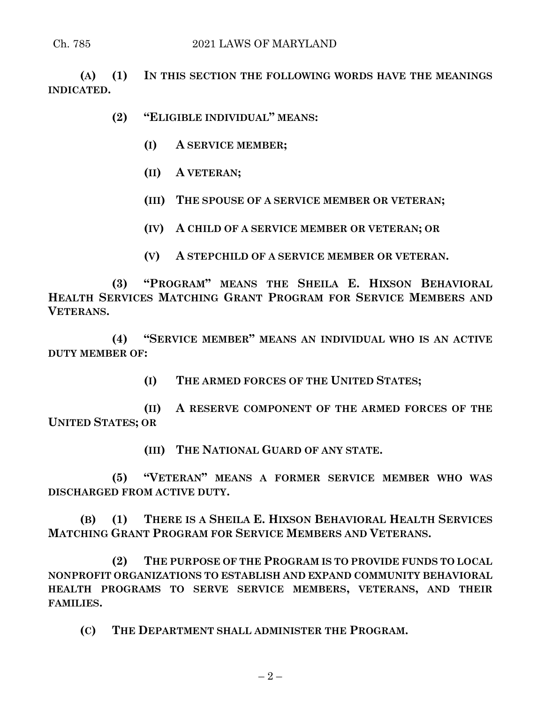**(A) (1) IN THIS SECTION THE FOLLOWING WORDS HAVE THE MEANINGS INDICATED.**

**(2) "ELIGIBLE INDIVIDUAL" MEANS:**

- **(I) A SERVICE MEMBER;**
- **(II) A VETERAN;**
- **(III) THE SPOUSE OF A SERVICE MEMBER OR VETERAN;**
- **(IV) A CHILD OF A SERVICE MEMBER OR VETERAN; OR**
- **(V) A STEPCHILD OF A SERVICE MEMBER OR VETERAN.**

**(3) "PROGRAM" MEANS THE SHEILA E. HIXSON BEHAVIORAL HEALTH SERVICES MATCHING GRANT PROGRAM FOR SERVICE MEMBERS AND VETERANS.**

**(4) "SERVICE MEMBER" MEANS AN INDIVIDUAL WHO IS AN ACTIVE DUTY MEMBER OF:**

**(I) THE ARMED FORCES OF THE UNITED STATES;**

**(II) A RESERVE COMPONENT OF THE ARMED FORCES OF THE UNITED STATES; OR**

**(III) THE NATIONAL GUARD OF ANY STATE.**

**(5) "VETERAN" MEANS A FORMER SERVICE MEMBER WHO WAS DISCHARGED FROM ACTIVE DUTY.**

**(B) (1) THERE IS A SHEILA E. HIXSON BEHAVIORAL HEALTH SERVICES MATCHING GRANT PROGRAM FOR SERVICE MEMBERS AND VETERANS.**

**(2) THE PURPOSE OF THE PROGRAM IS TO PROVIDE FUNDS TO LOCAL NONPROFIT ORGANIZATIONS TO ESTABLISH AND EXPAND COMMUNITY BEHAVIORAL HEALTH PROGRAMS TO SERVE SERVICE MEMBERS, VETERANS, AND THEIR FAMILIES.**

**(C) THE DEPARTMENT SHALL ADMINISTER THE PROGRAM.**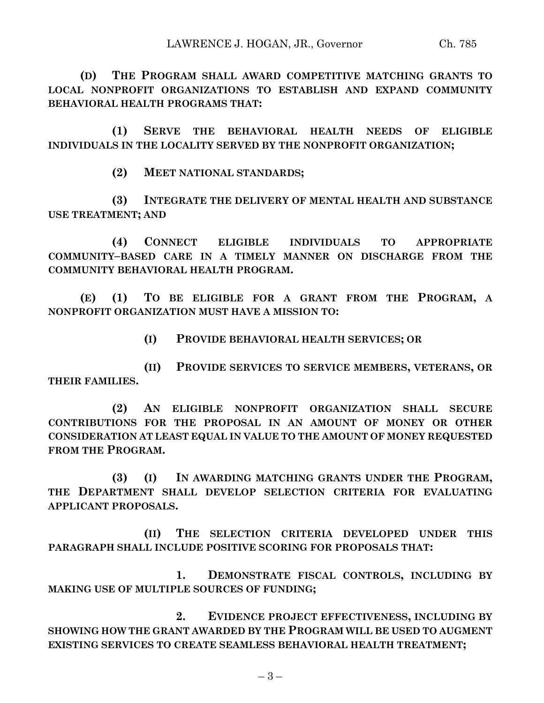**(D) THE PROGRAM SHALL AWARD COMPETITIVE MATCHING GRANTS TO LOCAL NONPROFIT ORGANIZATIONS TO ESTABLISH AND EXPAND COMMUNITY BEHAVIORAL HEALTH PROGRAMS THAT:**

**(1) SERVE THE BEHAVIORAL HEALTH NEEDS OF ELIGIBLE INDIVIDUALS IN THE LOCALITY SERVED BY THE NONPROFIT ORGANIZATION;**

**(2) MEET NATIONAL STANDARDS;**

**(3) INTEGRATE THE DELIVERY OF MENTAL HEALTH AND SUBSTANCE USE TREATMENT; AND**

**(4) CONNECT ELIGIBLE INDIVIDUALS TO APPROPRIATE COMMUNITY–BASED CARE IN A TIMELY MANNER ON DISCHARGE FROM THE COMMUNITY BEHAVIORAL HEALTH PROGRAM.**

**(E) (1) TO BE ELIGIBLE FOR A GRANT FROM THE PROGRAM, A NONPROFIT ORGANIZATION MUST HAVE A MISSION TO:**

**(I) PROVIDE BEHAVIORAL HEALTH SERVICES; OR**

**(II) PROVIDE SERVICES TO SERVICE MEMBERS, VETERANS, OR THEIR FAMILIES.**

**(2) AN ELIGIBLE NONPROFIT ORGANIZATION SHALL SECURE CONTRIBUTIONS FOR THE PROPOSAL IN AN AMOUNT OF MONEY OR OTHER CONSIDERATION AT LEAST EQUAL IN VALUE TO THE AMOUNT OF MONEY REQUESTED FROM THE PROGRAM.**

**(3) (I) IN AWARDING MATCHING GRANTS UNDER THE PROGRAM, THE DEPARTMENT SHALL DEVELOP SELECTION CRITERIA FOR EVALUATING APPLICANT PROPOSALS.**

**(II) THE SELECTION CRITERIA DEVELOPED UNDER THIS PARAGRAPH SHALL INCLUDE POSITIVE SCORING FOR PROPOSALS THAT:**

**1. DEMONSTRATE FISCAL CONTROLS, INCLUDING BY MAKING USE OF MULTIPLE SOURCES OF FUNDING;**

**2. EVIDENCE PROJECT EFFECTIVENESS, INCLUDING BY SHOWING HOW THE GRANT AWARDED BY THE PROGRAM WILL BE USED TO AUGMENT EXISTING SERVICES TO CREATE SEAMLESS BEHAVIORAL HEALTH TREATMENT;**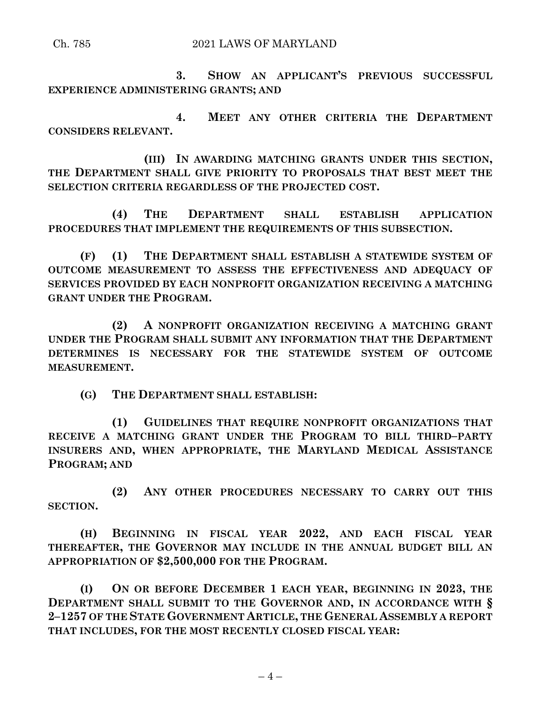**3. SHOW AN APPLICANT'S PREVIOUS SUCCESSFUL EXPERIENCE ADMINISTERING GRANTS; AND**

**4. MEET ANY OTHER CRITERIA THE DEPARTMENT CONSIDERS RELEVANT.**

**(III) IN AWARDING MATCHING GRANTS UNDER THIS SECTION, THE DEPARTMENT SHALL GIVE PRIORITY TO PROPOSALS THAT BEST MEET THE SELECTION CRITERIA REGARDLESS OF THE PROJECTED COST.**

**(4) THE DEPARTMENT SHALL ESTABLISH APPLICATION PROCEDURES THAT IMPLEMENT THE REQUIREMENTS OF THIS SUBSECTION.**

**(F) (1) THE DEPARTMENT SHALL ESTABLISH A STATEWIDE SYSTEM OF OUTCOME MEASUREMENT TO ASSESS THE EFFECTIVENESS AND ADEQUACY OF SERVICES PROVIDED BY EACH NONPROFIT ORGANIZATION RECEIVING A MATCHING GRANT UNDER THE PROGRAM.**

**(2) A NONPROFIT ORGANIZATION RECEIVING A MATCHING GRANT UNDER THE PROGRAM SHALL SUBMIT ANY INFORMATION THAT THE DEPARTMENT DETERMINES IS NECESSARY FOR THE STATEWIDE SYSTEM OF OUTCOME MEASUREMENT.**

**(G) THE DEPARTMENT SHALL ESTABLISH:**

**(1) GUIDELINES THAT REQUIRE NONPROFIT ORGANIZATIONS THAT RECEIVE A MATCHING GRANT UNDER THE PROGRAM TO BILL THIRD–PARTY INSURERS AND, WHEN APPROPRIATE, THE MARYLAND MEDICAL ASSISTANCE PROGRAM; AND**

**(2) ANY OTHER PROCEDURES NECESSARY TO CARRY OUT THIS SECTION.**

**(H) BEGINNING IN FISCAL YEAR 2022, AND EACH FISCAL YEAR THEREAFTER, THE GOVERNOR MAY INCLUDE IN THE ANNUAL BUDGET BILL AN APPROPRIATION OF \$2,500,000 FOR THE PROGRAM.**

**(I) ON OR BEFORE DECEMBER 1 EACH YEAR, BEGINNING IN 2023, THE DEPARTMENT SHALL SUBMIT TO THE GOVERNOR AND, IN ACCORDANCE WITH § 2–1257 OF THE STATE GOVERNMENT ARTICLE, THE GENERAL ASSEMBLY A REPORT THAT INCLUDES, FOR THE MOST RECENTLY CLOSED FISCAL YEAR:**

 $-4-$